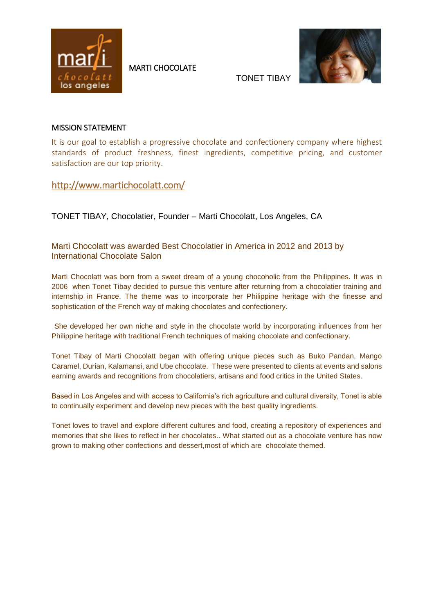

MARTI CHOCOLATE



TONET TIBAY

## MISSION STATEMENT

It is our goal to establish a progressive chocolate and confectionery company where highest standards of product freshness, finest ingredients, competitive pricing, and customer satisfaction are our top priority.

<http://www.martichocolatt.com/>

TONET TIBAY, Chocolatier, Founder – Marti Chocolatt, Los Angeles, CA

Marti Chocolatt was awarded Best Chocolatier in America in 2012 and 2013 by International Chocolate Salon

Marti Chocolatt was born from a sweet dream of a young chocoholic from the Philippines. It was in 2006 when Tonet Tibay decided to pursue this venture after returning from a chocolatier training and internship in France. The theme was to incorporate her Philippine heritage with the finesse and sophistication of the French way of making chocolates and confectionery.

She developed her own niche and style in the chocolate world by incorporating influences from her Philippine heritage with traditional French techniques of making chocolate and confectionary.

Tonet Tibay of Marti Chocolatt began with offering unique pieces such as Buko Pandan, Mango Caramel, Durian, Kalamansi, and Ube chocolate. These were presented to clients at events and salons earning awards and recognitions from chocolatiers, artisans and food critics in the United States.

Based in Los Angeles and with access to California's rich agriculture and cultural diversity, Tonet is able to continually experiment and develop new pieces with the best quality ingredients.

Tonet loves to travel and explore different cultures and food, creating a repository of experiences and memories that she likes to reflect in her chocolates.. What started out as a chocolate venture has now grown to making other confections and dessert,most of which are chocolate themed.